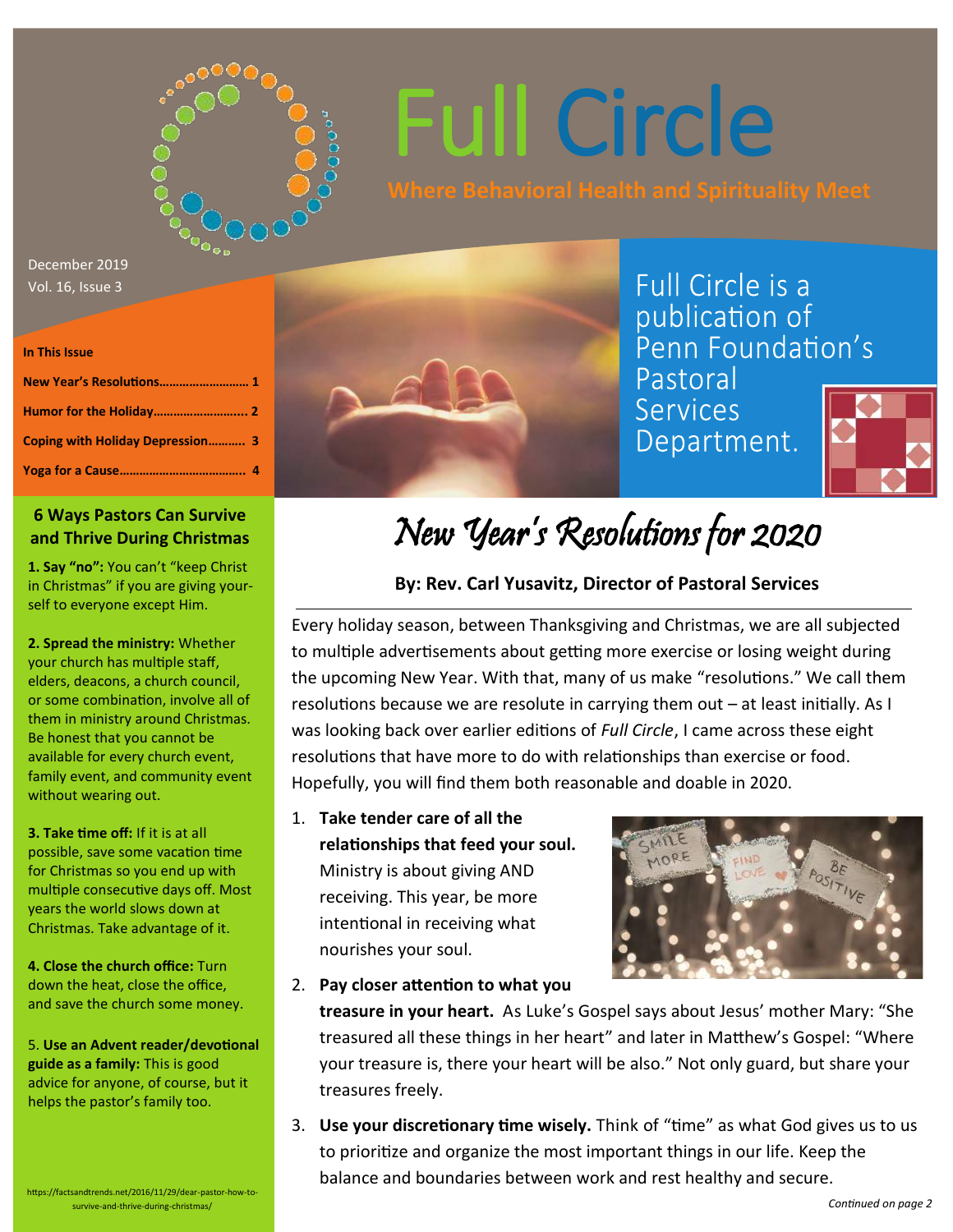

# Full Circle

December 2019 Vol. 16, Issue 3

#### **In This Issue**

| New Year's Resolutions 1         |  |
|----------------------------------|--|
|                                  |  |
| Coping with Holiday Depression 3 |  |
|                                  |  |

### **6 Ways Pastors Can Survive and Thrive During Christmas**

**1. Say "no":** You can't "keep Christ in Christmas" if you are giving yourself to everyone except Him.

**2. Spread the ministry:** Whether your church has multiple staff, elders, deacons, a church council, or some combination, involve all of them in ministry around Christmas. Be honest that you cannot be available for every church event, family event, and community event without wearing out.

**3. Take time off:** If it is at all possible, save some vacation time for Christmas so you end up with multiple consecutive days off. Most years the world slows down at Christmas. Take advantage of it.

**4. Close the church office:** Turn down the heat, close the office, and save the church some money.

5. **Use an Advent reader/devotional guide as a family:** This is good advice for anyone, of course, but it helps the pastor's family too.

https://factsandtrends.net/2016/11/29/dear-pastor-how-tosurvive-and-thrive-during-christmas/



### Full Circle is a publication of Penn Foundation's Pastoral

**Services** Department.



### New Year's Resolutions for 2020

### **By: Rev. Carl Yusavitz, Director of Pastoral Services**

Every holiday season, between Thanksgiving and Christmas, we are all subjected to multiple advertisements about getting more exercise or losing weight during the upcoming New Year. With that, many of us make "resolutions." We call them resolutions because we are resolute in carrying them out – at least initially. As I was looking back over earlier editions of *Full Circle*, I came across these eight resolutions that have more to do with relationships than exercise or food. Hopefully, you will find them both reasonable and doable in 2020.

1. **Take tender care of all the relationships that feed your soul.** Ministry is about giving AND receiving. This year, be more intentional in receiving what nourishes your soul.



2. **Pay closer attention to what you** 

**treasure in your heart.** As Luke's Gospel says about Jesus' mother Mary: "She treasured all these things in her heart" and later in Matthew's Gospel: "Where your treasure is, there your heart will be also." Not only guard, but share your treasures freely.

3. **Use your discretionary time wisely.** Think of "time" as what God gives us to us to prioritize and organize the most important things in our life. Keep the balance and boundaries between work and rest healthy and secure.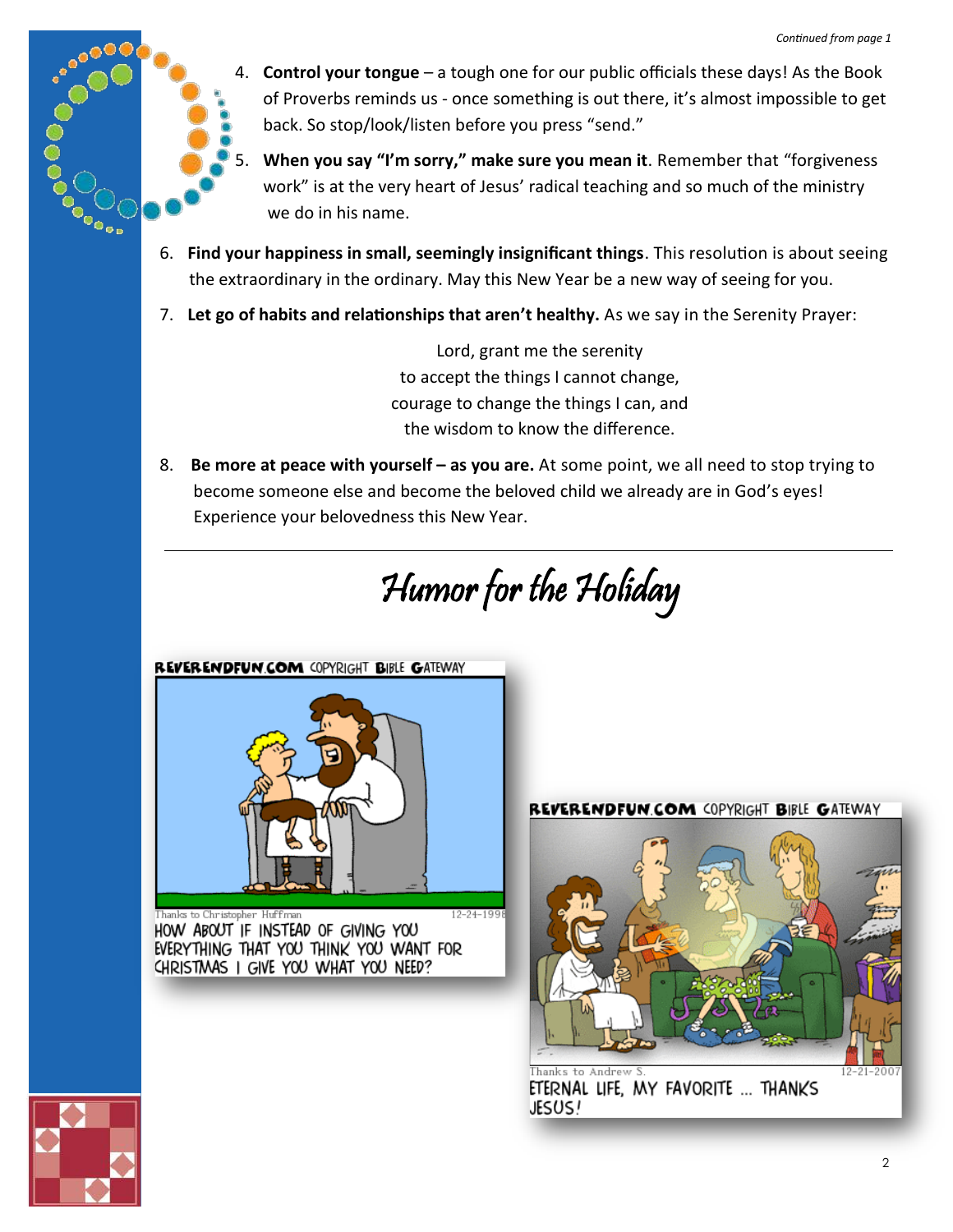

4. **Control your tongue** – a tough one for our public officials these days! As the Book of Proverbs reminds us - once something is out there, it's almost impossible to get back. So stop/look/listen before you press "send."

5. **When you say "I'm sorry," make sure you mean it**. Remember that "forgiveness work" is at the very heart of Jesus' radical teaching and so much of the ministry we do in his name.

- 6. **Find your happiness in small, seemingly insignificant things**. This resolution is about seeing the extraordinary in the ordinary. May this New Year be a new way of seeing for you.
- 7. **Let go of habits and relationships that aren't healthy.** As we say in the Serenity Prayer:

Lord, grant me the serenity to accept the things I cannot change, courage to change the things I can, and the wisdom to know the difference.

8. **Be more at peace with yourself – as you are.** At some point, we all need to stop trying to become someone else and become the beloved child we already are in God's eyes! Experience your belovedness this New Year.

Humor for the Holiday

REVERENDFUN.COM COPYRIGHT BIBLE GATEWAY



 $12 - 24 - 199$ to Christopher Huffma HOW ABOUT IF INSTEAD OF GIVING YOU EVERYTHING THAT YOU THINK YOU WANT FOR CHRISTMAS I GIVE YOU WHAT YOU NEED?



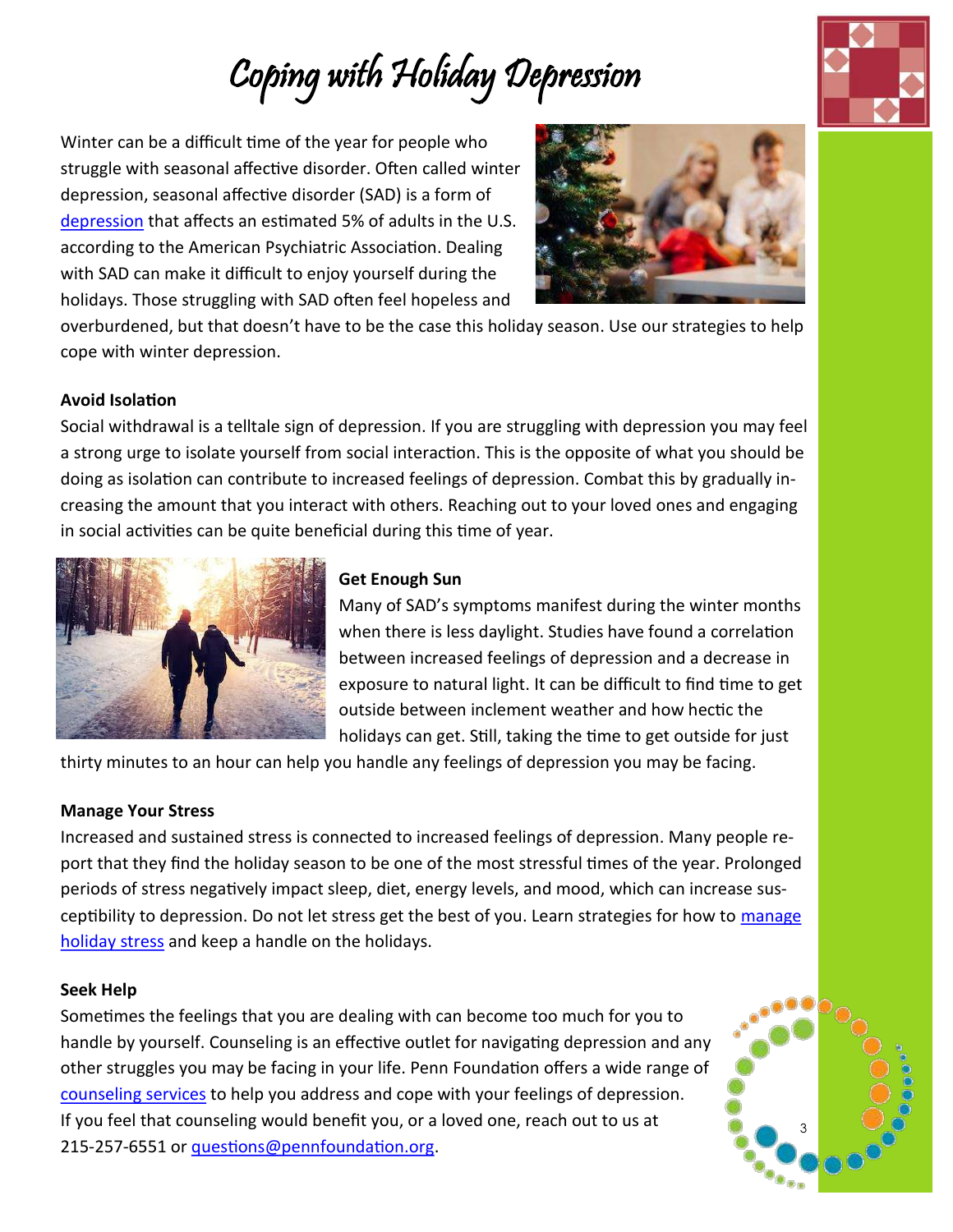# Coping with Holiday Depression

Winter can be a difficult time of the year for people who struggle with seasonal affective disorder. Often called winter depression, seasonal affective disorder (SAD) is a form of [depression](https://www.pennfoundation.org/news-events/articles-of-interest/depression-what-is-it-and-how-can-i-manage-it/) that affects an estimated 5% of adults in the U.S. according to the American Psychiatric Association. Dealing with SAD can make it difficult to enjoy yourself during the holidays. Those struggling with SAD often feel hopeless and



overburdened, but that doesn't have to be the case this holiday season. Use our strategies to help cope with winter depression.

### **Avoid Isolation**

Social withdrawal is a telltale sign of depression. If you are struggling with depression you may feel a strong urge to isolate yourself from social interaction. This is the opposite of what you should be doing as isolation can contribute to increased feelings of depression. Combat this by gradually increasing the amount that you interact with others. Reaching out to your loved ones and engaging in social activities can be quite beneficial during this time of year.



### **Get Enough Sun**

 Many of SAD's symptoms manifest during the winter months when there is less daylight. Studies have found a correlation between increased feelings of depression and a decrease in exposure to natural light. It can be difficult to find time to get outside between inclement weather and how hectic the holidays can get. Still, taking the time to get outside for just

thirty minutes to an hour can help you handle any feelings of depression you may be facing.

### **Manage Your Stress**

Increased and sustained stress is connected to increased feelings of depression. Many people report that they find the holiday season to be one of the most stressful times of the year. Prolonged periods of stress negatively impact sleep, diet, energy levels, and mood, which can increase susceptibility to depression. Do not let stress get the best of you. Learn strategies for how to manage [holiday stress](https://www.pennfoundation.org/news-events/articles-of-interest/5-tips-for-managing-stress-this-holiday-season/) and keep a handle on the holidays.

### **Seek Help**

Sometimes the feelings that you are dealing with can become too much for you to handle by yourself. Counseling is an effective outlet for navigating depression and any other struggles you may be facing in your life. Penn Foundation offers a wide range of [counseling services](https://www.pennfoundation.org/services/mental-health/for-adults/) to help you address and cope with your feelings of depression. If you feel that counseling would benefit you, or a loved one, reach out to us at 215-257-6551 or [questions@pennfoundation.org.](mailto:questions@pennfoundation.org)